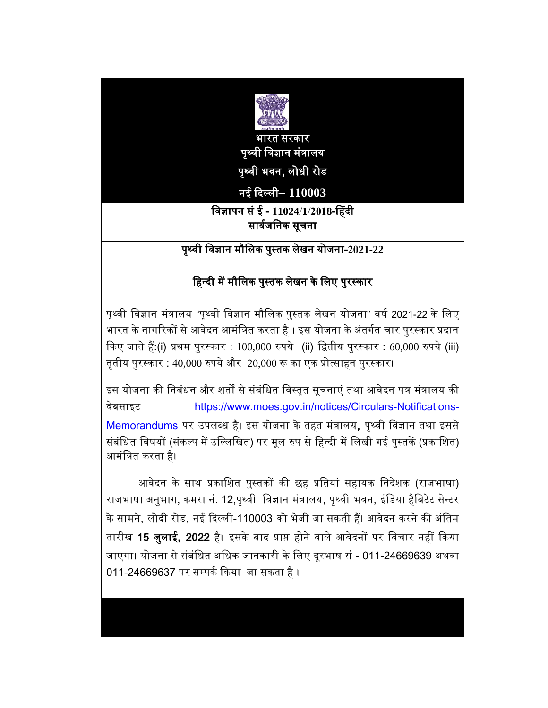

भारत सरकार पृथ्वी ववज्ञान मंत्रालय पृथ्वी भवन, लोधी रोड

# नई दिल्ली– **110003**

## ववज्ञापन सं ई - **11024**/**1**/**2018**-ह ंिी सार्वजनिक सूचना

पृथ्वी ववज्ञान मौवलक पुस्तक लेखन योजना-**2021-22**

# हिन्दी में मौलिक पुस्तक लेखन के लिए पुरस्कार

पृथ्वी ववज्ञान मंत्रालय "पृथ्वी ववज्ञान मौवलक पुस्तक लेखन योजना" वर्व 2021-22 के वलए भारत के नागरिकों से आवेदन आमंत्रित करता है । इस योजना के अंतर्गत चार पुरस्कार प्रदान दकए जाते ैं:(i) प्रथम पुरस्कार : 100,000 रुपये (ii) वितीय पुरस्कार : 60,000 रुपये (iii) तृतीय पुरस्कार : 40,000 रुपये और  $20,000$  रू का एक प्रोत्साहन पुरस्कार।

इस योजना की निबंधन और शर्तों से संबंधित विस्तृत सूचनाएं तथा आवेदन पत्र मंत्रालय की वेबसाइट [https://www.moes.gov.in/notices/Circulars-Notifications-](https://www.moes.gov.in/notices/Circulars-Notifications-Memorandums)[Memorandums](https://www.moes.gov.in/notices/Circulars-Notifications-Memorandums) पर उपलब्ध है। इस योजना के तहत मंत्रालय, पृथ्वी विज्ञान तथा इससे संबंधित विषयों (संकल्प में उल्लिखित) पर मूल रुप से हिन्दी में लिखी गई पुस्तकें (प्रकाशित) आमंवत्रत करता ै।

आवेदन के साथ प्रकाशित पुस्तकों की छह प्रतियां सहायक निदेशक (राजभाषा) राजभाषा अनुभाग, कमरा नं. 12,पृथ्वी विज्ञान मंत्रालय, पृथ्वी भवन, इंडिया हैबिटेट सेन्टर के सामने, लोदी रोड, नई दिल्ली-110003 को भेजी जा सकती हैं। आवेदन करने की अंतिम तारीख 15 जुलाई, 2022 है। इसके बाद प्राप्त होने वाले आवेदनों पर विचार नहीं किया जाएगा। योजना से संबंधित अधिक जानकारी के लिए दूरभाष सं - 011-24669639 अथवा 011-24669637 पर सम्पर्क किया जा सकता है ।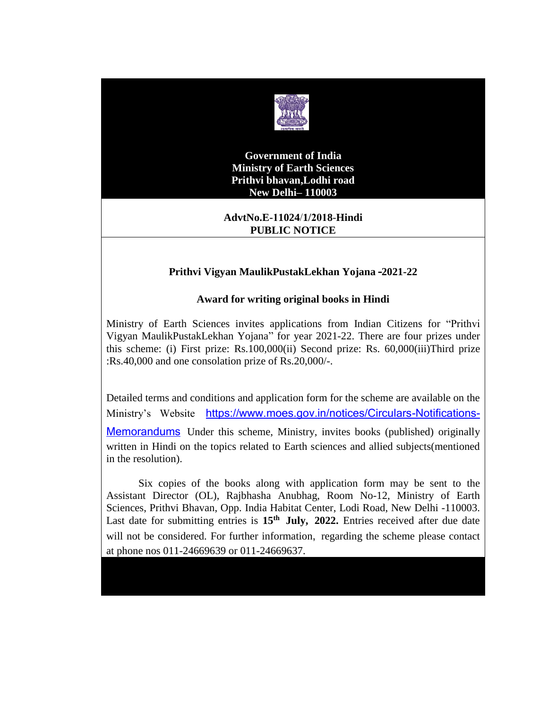

**Government of India Ministry of Earth Sciences Prithvi bhavan,Lodhi road New Delhi– 110003**

#### **AdvtNo.E-11024**/**1/2018**-**Hindi PUBLIC NOTICE**

#### **Prithvi Vigyan MaulikPustakLekhan Yojana –2021-22**

#### **Award for writing original books in Hindi**

Ministry of Earth Sciences invites applications from Indian Citizens for "Prithvi Vigyan MaulikPustakLekhan Yojana" for year 2021-22. There are four prizes under this scheme: (i) First prize: Rs.100,000(ii) Second prize: Rs. 60,000(iii)Third prize :Rs.40,000 and one consolation prize of Rs.20,000/-.

Detailed terms and conditions and application form for the scheme are available on the Ministry's Website [https://www.moes.gov.in/notices/Circulars-Notifications-](https://www.moes.gov.in/notices/Circulars-Notifications-Memorandums)[Memorandums](https://www.moes.gov.in/notices/Circulars-Notifications-Memorandums) Under this scheme, Ministry, invites books (published) originally written in Hindi on the topics related to Earth sciences and allied subjects(mentioned in the resolution).

Six copies of the books along with application form may be sent to the Assistant Director (OL), Rajbhasha Anubhag, Room No-12, Ministry of Earth Sciences, Prithvi Bhavan, Opp. India Habitat Center, Lodi Road, New Delhi -110003. Last date for submitting entries is **15th July, 2022.** Entries received after due date will not be considered. For further information, regarding the scheme please contact at phone nos 011-24669639 or 011-24669637.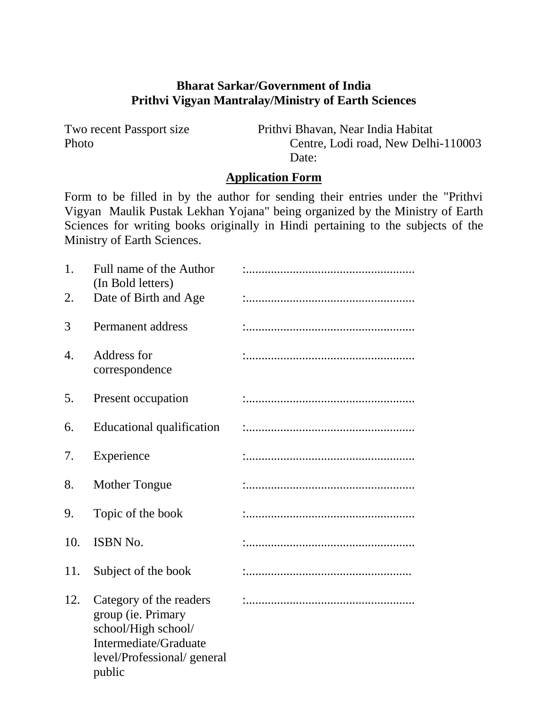## **Bharat Sarkar/Government of India Prithvi Vigyan Mantralay/Ministry of Earth Sciences**

Two recent Passport size Prithvi Bhavan, Near India Habitat Photo Centre, Lodi road, New Delhi-110003 Date:

# **Application Form**

Form to be filled in by the author for sending their entries under the "Prithvi Vigyan Maulik Pustak Lekhan Yojana" being organized by the Ministry of Earth Sciences for writing books originally in Hindi pertaining to the subjects of the Ministry of Earth Sciences.

| 1.               | Full name of the Author<br>(In Bold letters)                                                                                          |  |
|------------------|---------------------------------------------------------------------------------------------------------------------------------------|--|
| 2.               | Date of Birth and Age                                                                                                                 |  |
| 3                | Permanent address                                                                                                                     |  |
| $\overline{4}$ . | Address for<br>correspondence                                                                                                         |  |
| 5.               | Present occupation                                                                                                                    |  |
| 6.               | Educational qualification                                                                                                             |  |
| 7.               | Experience                                                                                                                            |  |
| 8.               | <b>Mother Tongue</b>                                                                                                                  |  |
| 9.               | Topic of the book                                                                                                                     |  |
| 10.              | <b>ISBN No.</b>                                                                                                                       |  |
| 11.              | Subject of the book                                                                                                                   |  |
| 12.              | Category of the readers<br>group (ie. Primary<br>school/High school/<br>Intermediate/Graduate<br>level/Professional/general<br>public |  |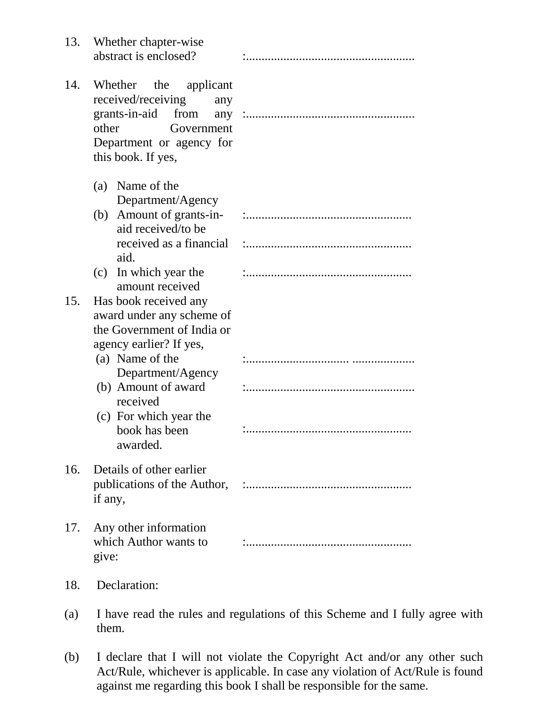| 13. | Whether chapter-wise<br>abstract is enclosed?                                                                                                     |  |
|-----|---------------------------------------------------------------------------------------------------------------------------------------------------|--|
| 14. | Whether the applicant<br>received/receiving<br>any<br>grants-in-aid from<br>other<br>Government<br>Department or agency for<br>this book. If yes, |  |
|     | (a) Name of the<br>Department/Agency<br>(b) Amount of grants-in-<br>aid received/to be                                                            |  |
|     | aid.                                                                                                                                              |  |
|     | (c) In which year the<br>amount received                                                                                                          |  |
| 15. | Has book received any<br>award under any scheme of<br>the Government of India or<br>agency earlier? If yes,<br>(a) Name of the                    |  |
|     | Department/Agency<br>(b) Amount of award<br>received                                                                                              |  |
|     | (c) For which year the<br>book has been<br>awarded.                                                                                               |  |
| 16. | Details of other earlier<br>if any,                                                                                                               |  |
| 17. | Any other information<br>which Author wants to<br>give:                                                                                           |  |

### 18. Declaration:

- (a) I have read the rules and regulations of this Scheme and I fully agree with them.
- (b) I declare that I will not violate the Copyright Act and/or any other such Act/Rule, whichever is applicable. In case any violation of Act/Rule is found against me regarding this book I shall be responsible for the same.